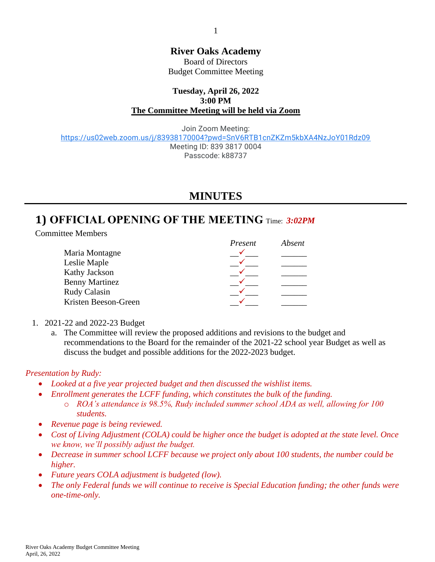**River Oaks Academy**

Board of Directors Budget Committee Meeting

#### **Tuesday, April 26, 2022 3:00 PM The Committee Meeting will be held via Zoom**

Join Zoom Meeting: <https://us02web.zoom.us/j/83938170004?pwd=SnV6RTB1cnZKZm5kbXA4NzJoY01Rdz09> Meeting ID: 839 3817 0004 Passcode: k88737

## **MINUTES**

# **1) OFFICIAL OPENING OF THE MEETING** Time: *3:02PM*

Committee Members

|                       | Present | Absent |
|-----------------------|---------|--------|
| Maria Montagne        |         |        |
| Leslie Maple          |         |        |
| Kathy Jackson         |         |        |
| <b>Benny Martinez</b> |         |        |
| Rudy Calasin          |         |        |
| Kristen Beeson-Green  |         |        |

- 1. 2021-22 and 2022-23 Budget
	- a. The Committee will review the proposed additions and revisions to the budget and recommendations to the Board for the remainder of the 2021-22 school year Budget as well as discuss the budget and possible additions for the 2022-2023 budget.

### *Presentation by Rudy:*

- *Looked at a five year projected budget and then discussed the wishlist items.*
- *Enrollment generates the LCFF funding, which constitutes the bulk of the funding.*
	- o *ROA's attendance is 98.5%, Rudy included summer school ADA as well, allowing for 100 students.*
- *Revenue page is being reviewed.*
- *Cost of Living Adjustment (COLA) could be higher once the budget is adopted at the state level. Once we know, we'll possibly adjust the budget.*
- *Decrease in summer school LCFF because we project only about 100 students, the number could be higher.*
- *Future years COLA adjustment is budgeted (low).*
- *The only Federal funds we will continue to receive is Special Education funding; the other funds were one-time-only.*

1